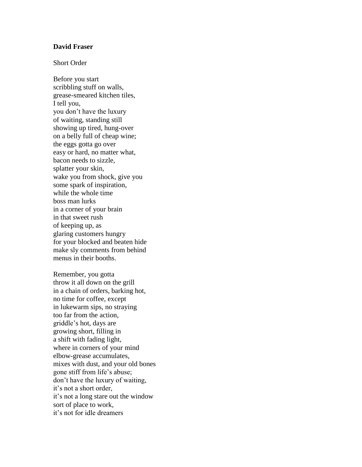## **David Fraser**

## Short Order

Before you start scribbling stuff on walls, grease-smeared kitchen tiles, I tell you, you don't have the luxury of waiting, standing still showing up tired, hung-over on a belly full of cheap wine; the eggs gotta go over easy or hard, no matter what, bacon needs to sizzle, splatter your skin, wake you from shock, give you some spark of inspiration, while the whole time boss man lurks in a corner of your brain in that sweet rush of keeping up, as glaring customers hungry for your blocked and beaten hide make sly comments from behind menus in their booths.

Remember, you gotta throw it all down on the grill in a chain of orders, barking hot, no time for coffee, except in lukewarm sips, no straying too far from the action, griddle's hot, days are growing short, filling in a shift with fading light, where in corners of your mind elbow-grease accumulates, mixes with dust, and your old bones gone stiff from life's abuse; don't have the luxury of waiting, it's not a short order, it's not a long stare out the window sort of place to work, it's not for idle dreamers